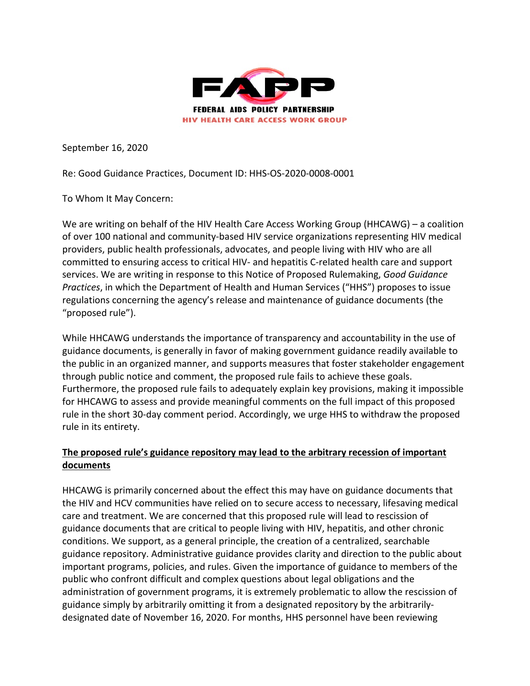

September 16, 2020

Re: Good Guidance Practices, Document ID: HHS-OS-2020-0008-0001

To Whom It May Concern:

We are writing on behalf of the HIV Health Care Access Working Group (HHCAWG) – a coalition of over 100 national and community-based HIV service organizations representing HIV medical providers, public health professionals, advocates, and people living with HIV who are all committed to ensuring access to critical HIV- and hepatitis C-related health care and support services. We are writing in response to this Notice of Proposed Rulemaking, *Good Guidance Practices*, in which the Department of Health and Human Services ("HHS") proposes to issue regulations concerning the agency's release and maintenance of guidance documents (the "proposed rule").

While HHCAWG understands the importance of transparency and accountability in the use of guidance documents, is generally in favor of making government guidance readily available to the public in an organized manner, and supports measures that foster stakeholder engagement through public notice and comment, the proposed rule fails to achieve these goals. Furthermore, the proposed rule fails to adequately explain key provisions, making it impossible for HHCAWG to assess and provide meaningful comments on the full impact of this proposed rule in the short 30-day comment period. Accordingly, we urge HHS to withdraw the proposed rule in its entirety.

## **The proposed rule's guidance repository may lead to the arbitrary recession of important documents**

HHCAWG is primarily concerned about the effect this may have on guidance documents that the HIV and HCV communities have relied on to secure access to necessary, lifesaving medical care and treatment. We are concerned that this proposed rule will lead to rescission of guidance documents that are critical to people living with HIV, hepatitis, and other chronic conditions. We support, as a general principle, the creation of a centralized, searchable guidance repository. Administrative guidance provides clarity and direction to the public about important programs, policies, and rules. Given the importance of guidance to members of the public who confront difficult and complex questions about legal obligations and the administration of government programs, it is extremely problematic to allow the rescission of guidance simply by arbitrarily omitting it from a designated repository by the arbitrarilydesignated date of November 16, 2020. For months, HHS personnel have been reviewing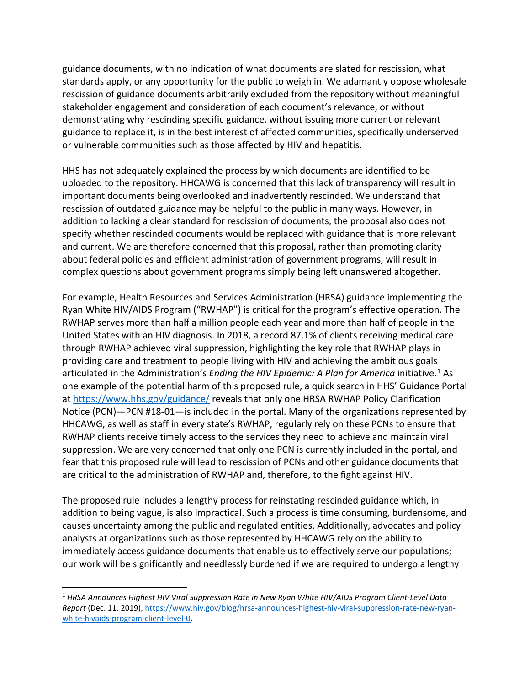guidance documents, with no indication of what documents are slated for rescission, what standards apply, or any opportunity for the public to weigh in. We adamantly oppose wholesale rescission of guidance documents arbitrarily excluded from the repository without meaningful stakeholder engagement and consideration of each document's relevance, or without demonstrating why rescinding specific guidance, without issuing more current or relevant guidance to replace it, is in the best interest of affected communities, specifically underserved or vulnerable communities such as those affected by HIV and hepatitis.

HHS has not adequately explained the process by which documents are identified to be uploaded to the repository. HHCAWG is concerned that this lack of transparency will result in important documents being overlooked and inadvertently rescinded. We understand that rescission of outdated guidance may be helpful to the public in many ways. However, in addition to lacking a clear standard for rescission of documents, the proposal also does not specify whether rescinded documents would be replaced with guidance that is more relevant and current. We are therefore concerned that this proposal, rather than promoting clarity about federal policies and efficient administration of government programs, will result in complex questions about government programs simply being left unanswered altogether.

For example, Health Resources and Services Administration (HRSA) guidance implementing the Ryan White HIV/AIDS Program ("RWHAP") is critical for the program's effective operation. The RWHAP serves more than half a million people each year and more than half of people in the United States with an HIV diagnosis. In 2018, a record 87.1% of clients receiving medical care through RWHAP achieved viral suppression, highlighting the key role that RWHAP plays in providing care and treatment to people living with HIV and achieving the ambitious goals articulated in the Administration's *Ending the HIV Epidemic: A Plan for America* initiative.<sup>[1](#page-1-0)</sup> As one example of the potential harm of this proposed rule, a quick search in HHS' Guidance Portal at<https://www.hhs.gov/guidance/> reveals that only one HRSA RWHAP Policy Clarification Notice (PCN)—PCN #18-01—is included in the portal. Many of the organizations represented by HHCAWG, as well as staff in every state's RWHAP, regularly rely on these PCNs to ensure that RWHAP clients receive timely access to the services they need to achieve and maintain viral suppression. We are very concerned that only one PCN is currently included in the portal, and fear that this proposed rule will lead to rescission of PCNs and other guidance documents that are critical to the administration of RWHAP and, therefore, to the fight against HIV.

The proposed rule includes a lengthy process for reinstating rescinded guidance which, in addition to being vague, is also impractical. Such a process is time consuming, burdensome, and causes uncertainty among the public and regulated entities. Additionally, advocates and policy analysts at organizations such as those represented by HHCAWG rely on the ability to immediately access guidance documents that enable us to effectively serve our populations; our work will be significantly and needlessly burdened if we are required to undergo a lengthy

<span id="page-1-0"></span> <sup>1</sup> *HRSA Announces Highest HIV Viral Suppression Rate in New Ryan White HIV/AIDS Program Client-Level Data Report* (Dec. 11, 2019)[, https://www.hiv.gov/blog/hrsa-announces-highest-hiv-viral-suppression-rate-new-ryan](https://www.hiv.gov/blog/hrsa-announces-highest-hiv-viral-suppression-rate-new-ryan-white-hivaids-program-client-level-0)[white-hivaids-program-client-level-0.](https://www.hiv.gov/blog/hrsa-announces-highest-hiv-viral-suppression-rate-new-ryan-white-hivaids-program-client-level-0)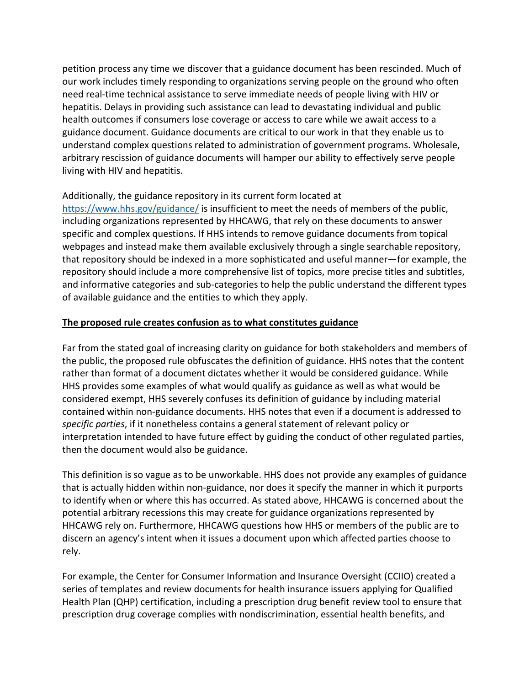petition process any time we discover that a guidance document has been rescinded. Much of our work includes timely responding to organizations serving people on the ground who often need real-time technical assistance to serve immediate needs of people living with HIV or hepatitis. Delays in providing such assistance can lead to devastating individual and public health outcomes if consumers lose coverage or access to care while we await access to a guidance document. Guidance documents are critical to our work in that they enable us to understand complex questions related to administration of government programs. Wholesale, arbitrary rescission of guidance documents will hamper our ability to effectively serve people living with HIV and hepatitis.

## Additionally, the guidance repository in its current form located at

<https://www.hhs.gov/guidance/> is insufficient to meet the needs of members of the public, including organizations represented by HHCAWG, that rely on these documents to answer specific and complex questions. If HHS intends to remove guidance documents from topical webpages and instead make them available exclusively through a single searchable repository, that repository should be indexed in a more sophisticated and useful manner—for example, the repository should include a more comprehensive list of topics, more precise titles and subtitles, and informative categories and sub-categories to help the public understand the different types of available guidance and the entities to which they apply.

## **The proposed rule creates confusion as to what constitutes guidance**

Far from the stated goal of increasing clarity on guidance for both stakeholders and members of the public, the proposed rule obfuscates the definition of guidance. HHS notes that the content rather than format of a document dictates whether it would be considered guidance. While HHS provides some examples of what would qualify as guidance as well as what would be considered exempt, HHS severely confuses its definition of guidance by including material contained within non-guidance documents. HHS notes that even if a document is addressed to *specific parties*, if it nonetheless contains a general statement of relevant policy or interpretation intended to have future effect by guiding the conduct of other regulated parties, then the document would also be guidance.

This definition is so vague as to be unworkable. HHS does not provide any examples of guidance that is actually hidden within non-guidance, nor does it specify the manner in which it purports to identify when or where this has occurred. As stated above, HHCAWG is concerned about the potential arbitrary recessions this may create for guidance organizations represented by HHCAWG rely on. Furthermore, HHCAWG questions how HHS or members of the public are to discern an agency's intent when it issues a document upon which affected parties choose to rely.

For example, the Center for Consumer Information and Insurance Oversight (CCIIO) created a series of templates and review documents for health insurance issuers applying for Qualified Health Plan (QHP) certification, including a prescription drug benefit review tool to ensure that prescription drug coverage complies with nondiscrimination, essential health benefits, and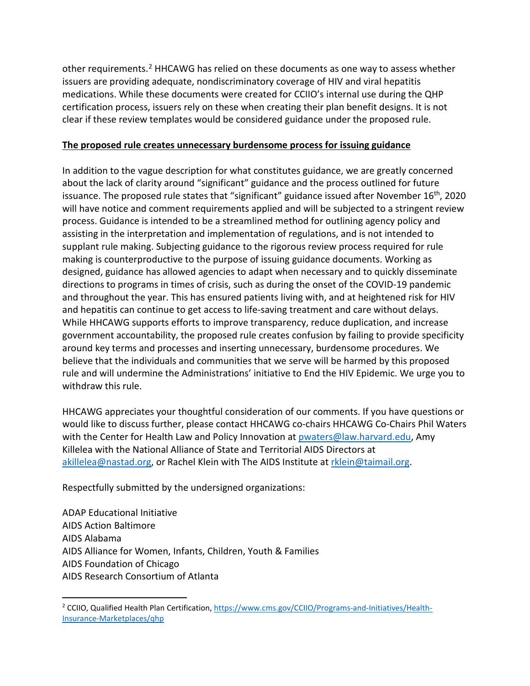other requirements.<sup>[2](#page-3-0)</sup> HHCAWG has relied on these documents as one way to assess whether issuers are providing adequate, nondiscriminatory coverage of HIV and viral hepatitis medications. While these documents were created for CCIIO's internal use during the QHP certification process, issuers rely on these when creating their plan benefit designs. It is not clear if these review templates would be considered guidance under the proposed rule.

## **The proposed rule creates unnecessary burdensome process for issuing guidance**

In addition to the vague description for what constitutes guidance, we are greatly concerned about the lack of clarity around "significant" guidance and the process outlined for future issuance. The proposed rule states that "significant" guidance issued after November 16<sup>th</sup>, 2020 will have notice and comment requirements applied and will be subjected to a stringent review process. Guidance is intended to be a streamlined method for outlining agency policy and assisting in the interpretation and implementation of regulations, and is not intended to supplant rule making. Subjecting guidance to the rigorous review process required for rule making is counterproductive to the purpose of issuing guidance documents. Working as designed, guidance has allowed agencies to adapt when necessary and to quickly disseminate directions to programs in times of crisis, such as during the onset of the COVID-19 pandemic and throughout the year. This has ensured patients living with, and at heightened risk for HIV and hepatitis can continue to get access to life-saving treatment and care without delays. While HHCAWG supports efforts to improve transparency, reduce duplication, and increase government accountability, the proposed rule creates confusion by failing to provide specificity around key terms and processes and inserting unnecessary, burdensome procedures. We believe that the individuals and communities that we serve will be harmed by this proposed rule and will undermine the Administrations' initiative to End the HIV Epidemic. We urge you to withdraw this rule.

HHCAWG appreciates your thoughtful consideration of our comments. If you have questions or would like to discuss further, please contact HHCAWG co-chairs HHCAWG Co-Chairs Phil Waters with the Center for Health Law and Policy Innovation at **pwaters@law.harvard.edu,** Amy Killelea with the National Alliance of State and Territorial AIDS Directors at [akillelea@nastad.org,](mailto:akillelea@nastad.org) or Rachel Klein with The AIDS Institute at [rklein@taimail.org.](mailto:rklein@taimail.org)

Respectfully submitted by the undersigned organizations:

ADAP Educational Initiative AIDS Action Baltimore AIDS Alabama AIDS Alliance for Women, Infants, Children, Youth & Families AIDS Foundation of Chicago AIDS Research Consortium of Atlanta

<span id="page-3-0"></span><sup>&</sup>lt;sup>2</sup> CCIIO, Qualified Health Plan Certification, [https://www.cms.gov/CCIIO/Programs-and-Initiatives/Health-](https://www.cms.gov/CCIIO/Programs-and-Initiatives/Health-Insurance-Marketplaces/qhp)[Insurance-Marketplaces/qhp](https://www.cms.gov/CCIIO/Programs-and-Initiatives/Health-Insurance-Marketplaces/qhp)